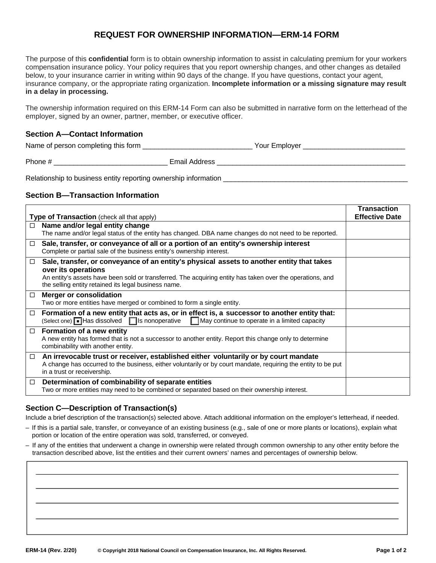# **REQUEST FOR OWNERSHIP INFORMATION—ERM-14 FORM**

The purpose of this **confidential** form is to obtain ownership information to assist in calculating premium for your workers compensation insurance policy. Your policy requires that you report ownership changes, and other changes as detailed below, to your insurance carrier in writing within 90 days of the change. If you have questions, contact your agent, insurance company, or the appropriate rating organization. **Incomplete information or a missing signature may result in a delay in processing.** 

The ownership information required on this ERM-14 Form can also be submitted in narrative form on the letterhead of the employer, signed by an owner, partner, member, or executive officer.

#### **Section A—Contact Information**

Name of person completing this form  $\blacksquare$   $\blacksquare$  Your Employer  $\blacksquare$ 

Phone #  $\qquad \qquad$  Email Address  $\qquad \qquad$ 

Relationship to business entity reporting ownership information

### **Section B—Transaction Information**

| Type of Transaction (check all that apply) | <b>Transaction</b><br><b>Effective Date</b>                                                                                                                                                                                                                                           |  |
|--------------------------------------------|---------------------------------------------------------------------------------------------------------------------------------------------------------------------------------------------------------------------------------------------------------------------------------------|--|
| $\Box$                                     | Name and/or legal entity change<br>The name and/or legal status of the entity has changed. DBA name changes do not need to be reported.                                                                                                                                               |  |
| □                                          | Sale, transfer, or conveyance of all or a portion of an entity's ownership interest<br>Complete or partial sale of the business entity's ownership interest.                                                                                                                          |  |
| □                                          | Sale, transfer, or conveyance of an entity's physical assets to another entity that takes<br>over its operations<br>An entity's assets have been sold or transferred. The acquiring entity has taken over the operations, and<br>the selling entity retained its legal business name. |  |
| $\Box$                                     | <b>Merger or consolidation</b><br>Two or more entities have merged or combined to form a single entity.                                                                                                                                                                               |  |
| □                                          | Formation of a new entity that acts as, or in effect is, a successor to another entity that:<br>$(Select one)$ Has dissolved $\Box$ Is nonoperative<br>May continue to operate in a limited capacity                                                                                  |  |
| $\Box$                                     | Formation of a new entity<br>A new entity has formed that is not a successor to another entity. Report this change only to determine<br>combinability with another entity.                                                                                                            |  |
| $\Box$                                     | An irrevocable trust or receiver, established either voluntarily or by court mandate<br>A change has occurred to the business, either voluntarily or by court mandate, requiring the entity to be put<br>in a trust or receivership.                                                  |  |
| $\Box$                                     | Determination of combinability of separate entities<br>Two or more entities may need to be combined or separated based on their ownership interest.                                                                                                                                   |  |

# **Section C—Description of Transaction(s)**

Include a brief description of the transaction(s) selected above. Attach additional information on the employer's letterhead, if needed.

- If this is a partial sale, transfer, or conveyance of an existing business (e.g., sale of one or more plants or locations), explain what portion or location of the entire operation was sold, transferred, or conveyed.
- If any of the entities that underwent a change in ownership were related through common ownership to any other entity before the transaction described above, list the entities and their current owners' names and percentages of ownership below.